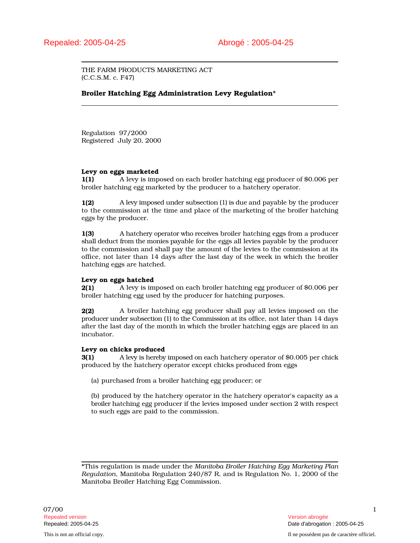THE FARM PRODUCTS MARKETING ACT (C.C.S.M. c. F47)

# Broiler Hatching Egg Administration Levy Regulation\*

Regulation 97/2000 Registered July 20, 2000

### Levy on eggs marketed

1(1) A levy is imposed on each broiler hatching egg producer of \$0.006 per broiler hatching egg marketed by the producer to a hatchery operator.

1(2) A levy imposed under subsection (1) is due and payable by the producer to the commission at the time and place of the marketing of the broiler hatching eggs by the producer.

1(3) A hatchery operator who receives broiler hatching eggs from a producer shall deduct from the monies payable for the eggs all levies payable by the producer to the commission and shall pay the amount of the levies to the commission at its office, not later than 14 days after the last day of the week in which the broiler hatching eggs are hatched.

# Levy on eggs hatched

2(1) A levy is imposed on each broiler hatching egg producer of \$0.006 per broiler hatching egg used by the producer for hatching purposes.

2(2) A broiler hatching egg producer shall pay all levies imposed on the producer under subsection (1) to the Commission at its office, not later than 14 days after the last day of the month in which the broiler hatching eggs are placed in an incubator.

### Levy on chicks produced

**3(1)** A levy is hereby imposed on each hatchery operator of \$0.005 per chick produced by the hatchery operator except chicks produced from eggs

(a) purchased from a broiler hatching egg producer; or

(b) produced by the hatchery operator in the hatchery operator's capacity as a broiler hatching egg producer if the levies imposed under section 2 with respect to such eggs are paid to the commission.

\*This regulation is made under the *Manitoba Broiler Hatching Egg Marketing Plan Regulation*, Manitoba Regulation 240/87 R, and is Regulation No. 1, 2000 of the Manitoba Broiler Hatching Egg Commission.